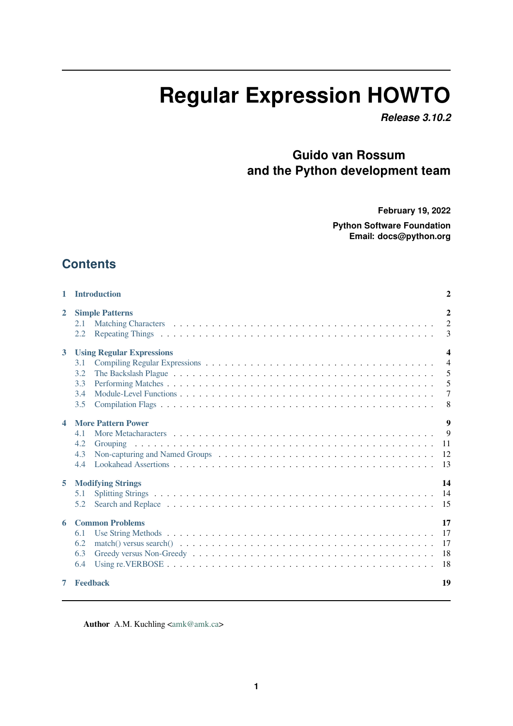# **Regular Expression HOWTO**

*Release 3.10.2*

## **Guido van Rossum and the Python development team**

**February 19, 2022**

**Python Software Foundation Email: docs@python.org**

### **Contents**

| 1                | <b>Introduction</b>                                                 | $\overline{2}$                                                      |
|------------------|---------------------------------------------------------------------|---------------------------------------------------------------------|
| $\overline{2}$   | <b>Simple Patterns</b><br>2.1<br>2.2                                | $\overline{2}$<br>$\overline{2}$<br>3                               |
| $\overline{3}$   | <b>Using Regular Expressions</b><br>3.1<br>3.2<br>3.3<br>3.4<br>3.5 | $\boldsymbol{4}$<br>$\overline{4}$<br>5<br>5<br>$\overline{7}$<br>8 |
| $\blacktriangle$ | <b>More Pattern Power</b><br>4.1<br>4.2<br>Grouping<br>4.3<br>4.4   | 9<br>$\mathbf{Q}$<br>11<br>12<br>13                                 |
| 5                | <b>Modifying Strings</b><br>5.1<br>5.2                              | 14<br>14<br>15                                                      |
| 6                | <b>Common Problems</b><br>6.1<br>6.2<br>6.3<br>6.4                  | 17<br>17<br>17<br>18<br>18                                          |
| 7                | <b>Feedback</b>                                                     | 19                                                                  |

[Author](#page-18-0) A.M. Kuchling <amk@amk.ca>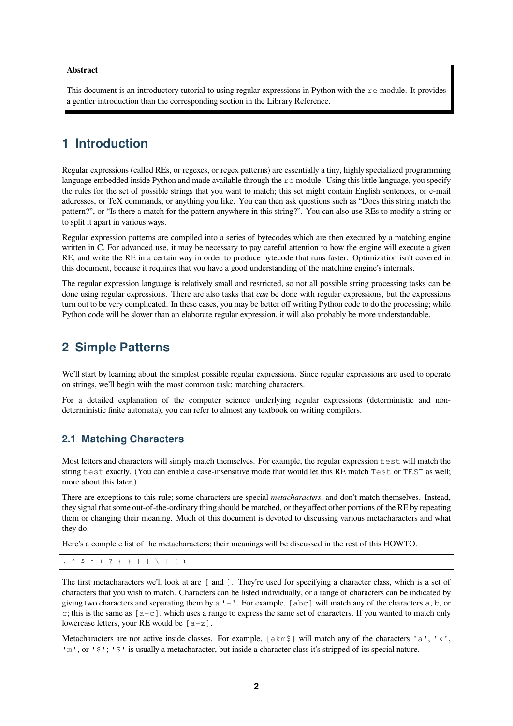#### **Abstract**

This document is an introductory tutorial to using regular expressions in Python with the remodule. It provides a gentler introduction than the corresponding section in the Library Reference.

### <span id="page-1-0"></span>**1 Introduction**

Regular expressions (called REs, or regexes, or regex patterns) are essentially a tiny, highly specialized programming language embedded inside Python and made available through the re module. Using this little language, you specify the rules for the set of possible strings that you want to match; this set might contain English sentences, or e-mail addresses, or TeX commands, or anything you like. You can then ask questions such as "Does this string match the pattern?", or "Is there a match for the pattern anywhere in this string?". You can also use REs to modify a string or to split it apart in various ways.

Regular expression patterns are compiled into a series of bytecodes which are then executed by a matching engine written in C. For advanced use, it may be necessary to pay careful attention to how the engine will execute a given RE, and write the RE in a certain way in order to produce bytecode that runs faster. Optimization isn't covered in this document, because it requires that you have a good understanding of the matching engine's internals.

The regular expression language is relatively small and restricted, so not all possible string processing tasks can be done using regular expressions. There are also tasks that *can* be done with regular expressions, but the expressions turn out to be very complicated. In these cases, you may be better off writing Python code to do the processing; while Python code will be slower than an elaborate regular expression, it will also probably be more understandable.

### <span id="page-1-1"></span>**2 Simple Patterns**

We'll start by learning about the simplest possible regular expressions. Since regular expressions are used to operate on strings, we'll begin with the most common task: matching characters.

For a detailed explanation of the computer science underlying regular expressions (deterministic and nondeterministic finite automata), you can refer to almost any textbook on writing compilers.

### <span id="page-1-2"></span>**2.1 Matching Characters**

Most letters and characters will simply match themselves. For example, the regular expression test will match the string test exactly. (You can enable a case-insensitive mode that would let this RE match Test or TEST as well; more about this later.)

There are exceptions to this rule; some characters are special *metacharacters*, and don't match themselves. Instead, they signal that some out-of-the-ordinary thing should be matched, or they affect other portions of the RE by repeating them or changing their meaning. Much of this document is devoted to discussing various metacharacters and what they do.

Here's a complete list of the metacharacters; their meanings will be discussed in the rest of this HOWTO.

 $$ * + ? { } [ ] \ \setminus ] \ ( )$ 

The first metacharacters we'll look at are [ and ]. They're used for specifying a character class, which is a set of characters that you wish to match. Characters can be listed individually, or a range of characters can be indicated by giving two characters and separating them by a '-'. For example, [abc] will match any of the characters a, b, or c; this is the same as  $[a-c]$ , which uses a range to express the same set of characters. If you wanted to match only lowercase letters, your RE would be  $[a-z]$ .

Metacharacters are not active inside classes. For example, [akm\$] will match any of the characters 'a', 'k', 'm', or '  $\frac{1}{5}$ '; '  $\frac{1}{5}$ ' is usually a metacharacter, but inside a character class it's stripped of its special nature.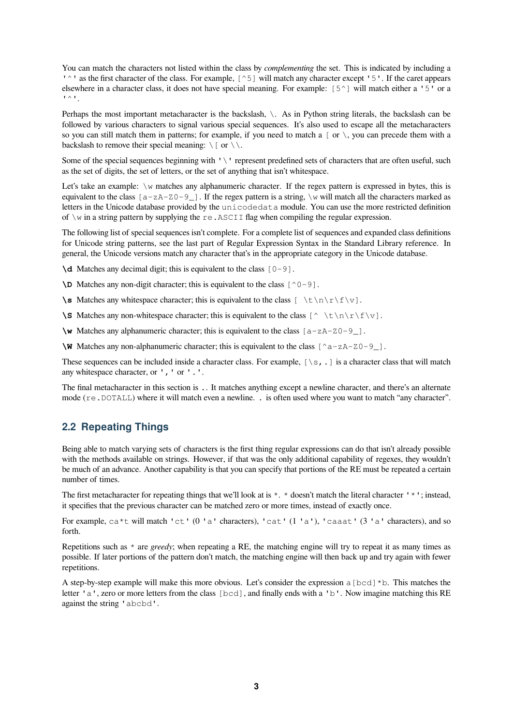You can match the characters not listed within the class by *complementing* the set. This is indicated by including a '<sup> $\sim$ </sup>' as the first character of the class. For example, [^5] will match any character except '5'. If the caret appears elsewhere in a character class, it does not have special meaning. For example: [5^] will match either a '5' or a  $\mathbf{I} \wedge \mathbf{I}$ .

Perhaps the most important metacharacter is the backslash, \. As in Python string literals, the backslash can be followed by various characters to signal various special sequences. It's also used to escape all the metacharacters so you can still match them in patterns; for example, if you need to match a  $\lceil$  or  $\setminus$ , you can precede them with a backslash to remove their special meaning:  $\[\ \]$  or  $\[\ \]$ .

Some of the special sequences beginning with '\' represent predefined sets of characters that are often useful, such as the set of digits, the set of letters, or the set of anything that isn't whitespace.

Let's take an example:  $\wedge w$  matches any alphanumeric character. If the regex pattern is expressed in bytes, this is equivalent to the class  $[a-zA-Z0-9]$ . If the regex pattern is a string,  $\forall w$  will match all the characters marked as letters in the Unicode database provided by the unicodedata module. You can use the more restricted definition of  $\wedge$  in a string pattern by supplying the re. ASCII flag when compiling the regular expression.

The following list of special sequences isn't complete. For a complete list of sequences and expanded class definitions for Unicode string patterns, see the last part of Regular Expression Syntax in the Standard Library reference. In general, the Unicode versions match any character that's in the appropriate category in the Unicode database.

 $\ddot{o}$  Matches any decimal digit; this is equivalent to the class  $[0-9]$ .

 $\Delta$ **D** Matches any non-digit character; this is equivalent to the class  $[^{\circ}0-9]$ .

**\s** Matches any whitespace character; this is equivalent to the class  $[\n\text{tr}\r(\text{tr}\r(\text{tr}\r(\text{tr}\r(\text{tr}\r(\text{tr}\r(\text{tr}\r(\text{tr}\r(\text{tr}\r(\text{tr}\r(\text{tr}\r(\text{tr}\r(\text{tr}\r(\text{tr}\r(\text{tr}\r(\text{tr}\r(\text{tr}\r(\text{tr}\r(\text{tr}\r(\text{tr}\r(\text{tr}\r(\text{tr}\r(\text{tr}\r(\text{tr}\r(\text{$ 

**\S** Matches any non-whitespace character; this is equivalent to the class  $[\wedge \ \t\setminus \t\setminus \r\setminus \text{f}\vee]$ .

**\w** Matches any alphanumeric character; this is equivalent to the class [a-zA-Z0-9\_].

**\W** Matches any non-alphanumeric character; this is equivalent to the class  $[^a = zA - zA - 9$  ].

These sequences can be included inside a character class. For example,  $[\S, \ldots]$  is a character class that will match any whitespace character, or ',' or '.'.

The final metacharacter in this section is .. It matches anything except a newline character, and there's an alternate mode (re.DOTALL) where it will match even a newline. . is often used where you want to match "any character".

### <span id="page-2-0"></span>**2.2 Repeating Things**

Being able to match varying sets of characters is the first thing regular expressions can do that isn't already possible with the methods available on strings. However, if that was the only additional capability of regexes, they wouldn't be much of an advance. Another capability is that you can specify that portions of the RE must be repeated a certain number of times.

The first metacharacter for repeating things that we'll look at is  $\star$ .  $\star$  doesn't match the literal character ' $\star$ '; instead, it specifies that the previous character can be matched zero or more times, instead of exactly once.

For example, ca\*t will match 'ct' (0 'a' characters), 'cat' (1 'a'), 'caaat' (3 'a' characters), and so forth.

Repetitions such as  $*$  are *greedy*; when repeating a RE, the matching engine will try to repeat it as many times as possible. If later portions of the pattern don't match, the matching engine will then back up and try again with fewer repetitions.

A step-by-step example will make this more obvious. Let's consider the expression a [bcd]  $*$ b. This matches the letter 'a', zero or more letters from the class [bcd], and finally ends with a 'b'. Now imagine matching this RE against the string 'abcbd'.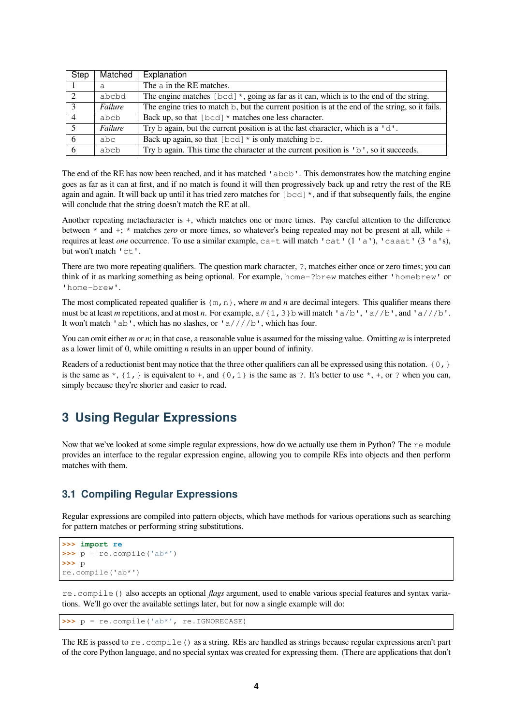| <b>Step</b> | Matched | Explanation                                                                                                        |
|-------------|---------|--------------------------------------------------------------------------------------------------------------------|
|             | a       | The a in the RE matches.                                                                                           |
| 2           | abcbd   | The engine matches [bcd] $\star$ , going as far as it can, which is to the end of the string.                      |
| 3           | Failure | The engine tries to match b, but the current position is at the end of the string, so it fails.                    |
|             | abcb    | Back up, so that $[\text{bcd}]$ * matches one less character.                                                      |
| -5          | Failure | Try $\triangleright$ again, but the current position is at the last character, which is a ' $d'$ .                 |
| 6           | abc     | Back up again, so that $[\text{bcd}]$ * is only matching bc.                                                       |
| -6          | abcb    | Try $\triangleright$ again. This time the character at the current position is $\triangleright$ ', so it succeeds. |

The end of the RE has now been reached, and it has matched 'abcb'. This demonstrates how the matching engine goes as far as it can at first, and if no match is found it will then progressively back up and retry the rest of the RE again and again. It will back up until it has tried zero matches for  $\lceil \text{bcd} \rceil^*$ , and if that subsequently fails, the engine will conclude that the string doesn't match the RE at all.

Another repeating metacharacter is +, which matches one or more times. Pay careful attention to the difference between \* and +; \* matches *zero* or more times, so whatever's being repeated may not be present at all, while + requires at least *one* occurrence. To use a similar example, ca+t will match 'cat' (1'a'), 'caaat' (3'a's), but won't match 'ct'.

There are two more repeating qualifiers. The question mark character, ?, matches either once or zero times; you can think of it as marking something as being optional. For example, home-?brew matches either 'homebrew' or 'home-brew'.

The most complicated repeated qualifier is  ${m,n}$ , where *m* and *n* are decimal integers. This qualifier means there must be at least *m* repetitions, and at most *n*. For example,  $a/{1,3}$  b will match ' $a/b'$ , ' $a//b'$ , and ' $a//b'$ . It won't match 'ab', which has no slashes, or 'a////b', which has four.

You can omit either *m* or *n*; in that case, a reasonable value is assumed for the missing value. Omitting *m* is interpreted as a lower limit of 0, while omitting *n* results in an upper bound of infinity.

Readers of a reductionist bent may notice that the three other qualifiers can all be expressed using this notation.  $\{0, \}$ is the same as  $\star$ ,  $\{1,\}$  is equivalent to  $+$ , and  $\{0,1\}$  is the same as ?. It's better to use  $\star$ ,  $+$ , or ? when you can, simply because they're shorter and easier to read.

### <span id="page-3-0"></span>**3 Using Regular Expressions**

Now that we've looked at some simple regular expressions, how do we actually use them in Python? The remodule provides an interface to the regular expression engine, allowing you to compile REs into objects and then perform matches with them.

### <span id="page-3-1"></span>**3.1 Compiling Regular Expressions**

Regular expressions are compiled into pattern objects, which have methods for various operations such as searching for pattern matches or performing string substitutions.

```
>>> import re
>>> p = re.compile('ab*')
>>> p
re.compile('ab*')
```
re.compile() also accepts an optional *flags* argument, used to enable various special features and syntax variations. We'll go over the available settings later, but for now a single example will do:

```
>>> p = re.compile('ab*', re.IGNORECASE)
```
The RE is passed to re.compile() as a string. REs are handled as strings because regular expressions aren't part of the core Python language, and no special syntax was created for expressing them. (There are applications that don't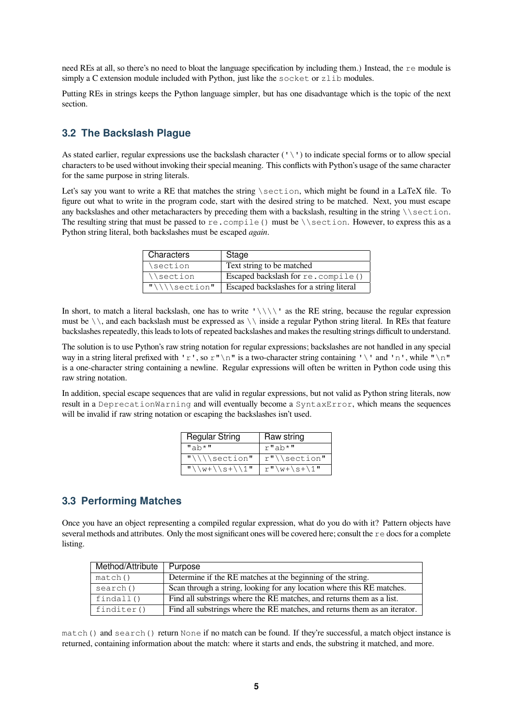need REs at all, so there's no need to bloat the language specification by including them.) Instead, the re module is simply a C extension module included with Python, just like the  $s$ ocket or zlib modules.

Putting REs in strings keeps the Python language simpler, but has one disadvantage which is the topic of the next section.

### <span id="page-4-0"></span>**3.2 The Backslash Plague**

As stated earlier, regular expressions use the backslash character  $( \vee \vee)$  to indicate special forms or to allow special characters to be used without invoking their special meaning. This conflicts with Python's usage of the same character for the same purpose in string literals.

Let's say you want to write a RE that matches the string \section, which might be found in a LaTeX file. To figure out what to write in the program code, start with the desired string to be matched. Next, you must escape any backslashes and other metacharacters by preceding them with a backslash, resulting in the string  $\backslash \setminus$  section. The resulting string that must be passed to re.compile() must be \\section. However, to express this as a Python string literal, both backslashes must be escaped *again*.

| Characters    | Stage                                    |
|---------------|------------------------------------------|
| \section      | Text string to be matched                |
| \\section     | Escaped backslash for $re$ . $compile()$ |
| $"\\\\\\\ \&$ | Escaped backslashes for a string literal |

In short, to match a literal backslash, one has to write ' $\setminus \setminus \setminus$ ' as the RE string, because the regular expression must be  $\setminus$ , and each backslash must be expressed as  $\setminus$  inside a regular Python string literal. In REs that feature backslashes repeatedly, this leads to lots of repeated backslashes and makes the resulting strings difficult to understand.

The solution is to use Python's raw string notation for regular expressions; backslashes are not handled in any special way in a string literal prefixed with 'r', so r"\n" is a two-character string containing '\' and 'n', while "\n" is a one-character string containing a newline. Regular expressions will often be written in Python code using this raw string notation.

In addition, special escape sequences that are valid in regular expressions, but not valid as Python string literals, now result in a DeprecationWarning and will eventually become a SyntaxError, which means the sequences will be invalid if raw string notation or escaping the backslashes isn't used.

| <b>Regular String</b>                   | Raw string              |
|-----------------------------------------|-------------------------|
| $^{\prime\prime}$ ah* $^{\prime\prime}$ | r"ab*"                  |
| $"$ \\\\section"                        | $r''$ \ \section"       |
| $\sqrt{(w+1)s+1/1}$                     | $r''\wedge w+\s + \1''$ |

### <span id="page-4-1"></span>**3.3 Performing Matches**

Once you have an object representing a compiled regular expression, what do you do with it? Pattern objects have several methods and attributes. Only the most significant ones will be covered here; consult the re docs for a complete listing.

| Method/Attribute | Purpose                                                                    |
|------------------|----------------------------------------------------------------------------|
| match()          | Determine if the RE matches at the beginning of the string.                |
| search()         | Scan through a string, looking for any location where this RE matches.     |
| findall()        | Find all substrings where the RE matches, and returns them as a list.      |
| finditer()       | Find all substrings where the RE matches, and returns them as an iterator. |

match() and search() return None if no match can be found. If they're successful, a match object instance is returned, containing information about the match: where it starts and ends, the substring it matched, and more.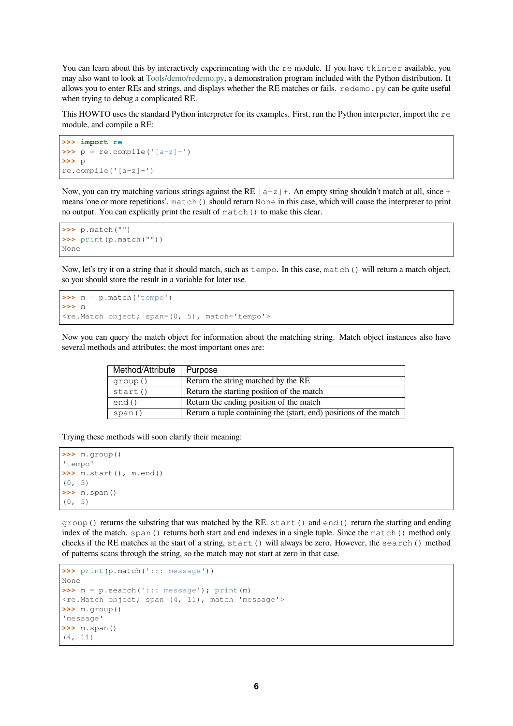You can learn about this by interactively experimenting with the remodule. If you have tkinter available, you may also want to look at Tools/demo/redemo.py, a demonstration program included with the Python distribution. It allows you to enter REs and strings, and displays whether the RE matches or fails. redemo.py can be quite useful when trying to debug a complicated RE.

This HOWTO uses the s[tandard Python interpret](https://github.com/python/cpython/tree/3.10/Tools/demo/redemo.py)er for its examples. First, run the Python interpreter, import the  $r \in \mathbb{R}$ module, and compile a RE:

```
>>> import re
\Rightarrow \Rightarrow p = re.compile('[a-z]+')>>> p
re.compile('[a-z]+')
```
Now, you can try matching various strings against the RE  $[a-z]+$ . An empty string shouldn't match at all, since + means 'one or more repetitions'. match() should return None in this case, which will cause the interpreter to print no output. You can explicitly print the result of match() to make this clear.

```
>>> p.match("")
>>> print(p.match(""))
None
```
Now, let's try it on a string that it should match, such as tempo. In this case, match() will return a match object, so you should store the result in a variable for later use.

```
>>> m = p.match('tempo')
>>> m
<re.Match object; span=(0, 5), match='tempo'>
```
Now you can query the match object for information about the matching string. Match object instances also have several methods and attributes; the most important ones are:

| Method/Attribute | Purpose                                                           |
|------------------|-------------------------------------------------------------------|
| group()          | Return the string matched by the RE                               |
| start()          | Return the starting position of the match                         |
| end()            | Return the ending position of the match                           |
| span()           | Return a tuple containing the (start, end) positions of the match |

Trying these methods will soon clarify their meaning:

```
>>> m.group()
'tempo'
>>> m.start(), m.end()
(0, 5)
>>> m.span()
(0, 5)
```
group() returns the substring that was matched by the RE. start() and end() return the starting and ending index of the match. span() returns both start and end indexes in a single tuple. Since the match() method only checks if the RE matches at the start of a string, start() will always be zero. However, the search() method of patterns scans through the string, so the match may not start at zero in that case.

```
>>> print(p.match('::: message'))
None
>>> m = p.search('::: message'); print(m)
<re.Match object; span=(4, 11), match='message'>
>>> m.group()
'message'
>>> m.span()
(4, 11)
```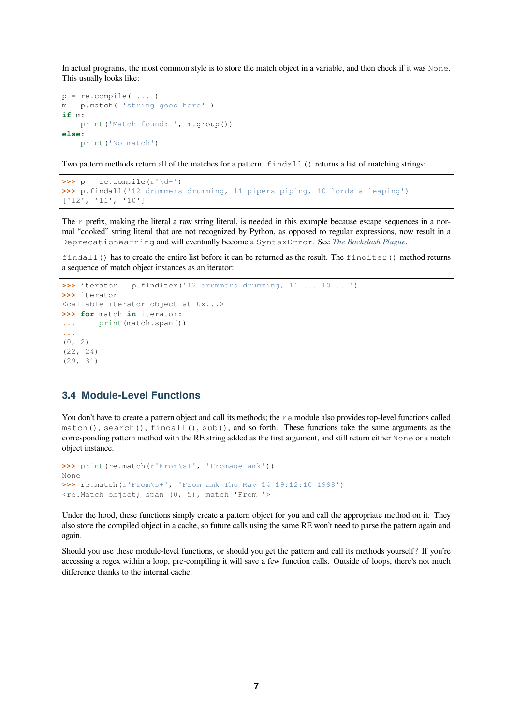In actual programs, the most common style is to store the match object in a variable, and then check if it was None. This usually looks like:

```
p = re.compile( ... )m = p.match( 'string goes here' )
if m:
   print('Match found: ', m.group())
else:
   print('No match')
```
Two pattern methods return all of the matches for a pattern. findall () returns a list of matching strings:

```
\Rightarrow \Rightarrow p = re.compile(r' \ddot{\ddot{\theta}})>>> p.findall('12 drummers drumming, 11 pipers piping, 10 lords a-leaping')
['12', '11', '10']
```
The r prefix, making the literal a raw string literal, is needed in this example because escape sequences in a normal "cooked" string literal that are not recognized by Python, as opposed to regular expressions, now result in a DeprecationWarning and will eventually become a SyntaxError. See *The Backslash Plague*.

findall() has to create the entire list before it can be returned as the result. The finditer() method returns a sequence of match object instances as an iterator:

```
>>> iterator = p.finditer('12 drummers drumming, 11 ... 10 ...')
>>> iterator
<callable_iterator object at 0x...>
>>> for match in iterator:
... print(match.span())
...
(0, 2)
(22, 24)
(29, 31)
```
### **3.4 Module-Level Functions**

<span id="page-6-0"></span>You don't have to create a pattern object and call its methods; the remodule also provides top-level functions called match(), search(), findall(), sub(), and so forth. These functions take the same arguments as the corresponding pattern method with the RE string added as the first argument, and still return either None or a match object instance.

```
>>> print(re.match(r'From\s+', 'Fromage amk'))
None
>>> re.match(r'From\s+', 'From amk Thu May 14 19:12:10 1998')
<re.Match object; span=(0, 5), match='From '>
```
Under the hood, these functions simply create a pattern object for you and call the appropriate method on it. They also store the compiled object in a cache, so future calls using the same RE won't need to parse the pattern again and again.

Should you use these module-level functions, or should you get the pattern and call its methods yourself? If you're accessing a regex within a loop, pre-compiling it will save a few function calls. Outside of loops, there's not much difference thanks to the internal cache.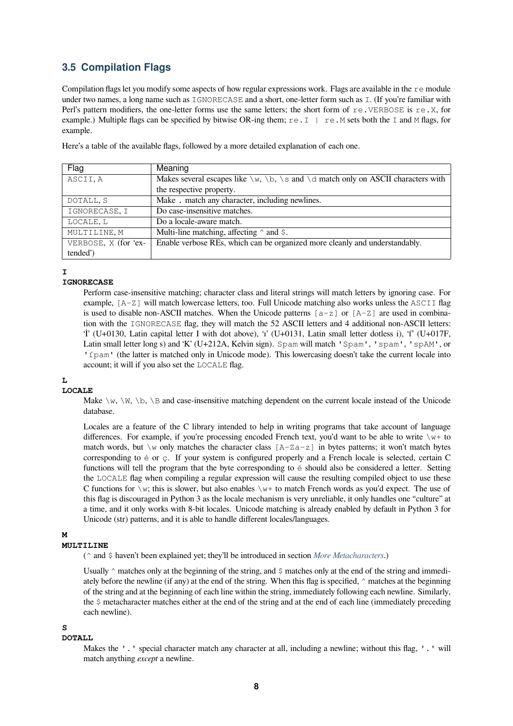### **3.5 Compilation Flags**

<span id="page-7-0"></span>Compilation flags let you modify some aspects of how regular expressions work. Flags are available in the  $r \in \text{module}$ under two names, a long name such as IGNORECASE and a short, one-letter form such as I. (If you're familiar with Perl's pattern modifiers, the one-letter forms use the same letters; the short form of re.VERBOSE is re.X, for example.) Multiple flags can be specified by bitwise OR-ing them;  $r \in I \mid r \in M$  sets both the I and M flags, for example.

Here's a table of the available flags, followed by a more detailed explanation of each one.

| Flag                 | Meaning                                                                                    |
|----------------------|--------------------------------------------------------------------------------------------|
| ASCII, A             | Makes several escapes like $\w$ , $\b$ , $\s$ and $\d$ match only on ASCII characters with |
|                      | the respective property.                                                                   |
| DOTALL, S            | Make. match any character, including newlines.                                             |
| IGNORECASE, I        | Do case-insensitive matches.                                                               |
| LOCALE, L            | Do a locale-aware match.                                                                   |
| MULTILINE, M         | Multi-line matching, affecting $\land$ and $\Diamond$ .                                    |
| VERBOSE, X (for 'ex- | Enable verbose REs, which can be organized more cleanly and understandably.                |
| tended')             |                                                                                            |

#### **I**

### **IGNORECASE**

Perform case-insensitive matching; character class and literal strings will match letters by ignoring case. For example, [A-Z] will match lowercase letters, too. Full Unicode matching also works unless the ASCII flag is used to disable non-ASCII matches. When the Unicode patterns  $[a-z]$  or  $[A-Z]$  are used in combination with the IGNORECASE flag, they will match the 52 ASCII letters and 4 additional non-ASCII letters: 'İ' (U+0130, Latin capital letter I with dot above), 'ı' (U+0131, Latin small letter dotless i), 'ſ' (U+017F, Latin small letter long s) and 'K' (U+212A, Kelvin sign). Spam will match 'Spam', 'spam', 'spAM', or 'f pam' (the latter is matched only in Unicode mode). This lowercasing doesn't take the current locale into account; it will if you also set the LOCALE flag.

### **L**

### **LOCALE**

Make  $\wedge w$ ,  $\wedge w$ ,  $\wedge b$ ,  $\wedge$  and case-insensitive matching dependent on the current locale instead of the Unicode database.

Locales are a feature of the C library intended to help in writing programs that take account of language differences. For example, if you're processing encoded French text, you'd want to be able to write  $\forall w+$  to match words, but  $\wedge$  only matches the character class  $[A-Za-z]$  in bytes patterns; it won't match bytes corresponding to é or ç. If your system is configured properly and a French locale is selected, certain C functions will tell the program that the byte corresponding to é should also be considered a letter. Setting the LOCALE flag when compiling a regular expression will cause the resulting compiled object to use these C functions for  $\wedge w$ ; this is slower, but also enables  $\wedge w$  to match French words as you'd expect. The use of this flag is discouraged in Python 3 as the locale mechanism is very unreliable, it only handles one "culture" at a time, and it only works with 8-bit locales. Unicode matching is already enabled by default in Python 3 for Unicode (str) patterns, and it is able to handle different locales/languages.

#### **M**

#### **MULTILINE**

(^ and \$ haven't been explained yet; they'll be introduced in section *More Metacharacters*.)

Usually  $\gamma$  matches only at the beginning of the string, and  $\gamma$  matches only at the end of the string and immediately before the newline (if any) at the end of the string. When this flag is specified,  $\land$  matches at the beginning of the string and at the beginning of each line within the string, immediately following each newline. Similarly, the \$ metacharacter matches either at the end of the string and at th[e end of each line \(imm](#page-8-1)ediately preceding each newline).

### **S**

**DOTALL**

Makes the '.' special character match any character at all, including a newline; without this flag, '.' will match anything *except* a newline.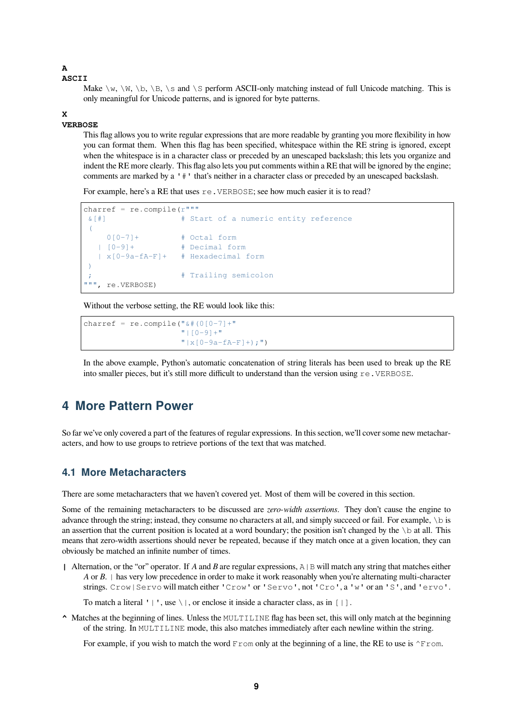#### **A**

#### **ASCII**

Make  $\wedge w$ ,  $\wedge w$ ,  $\wedge b$ ,  $\wedge s$  and  $\wedge s$  perform ASCII-only matching instead of full Unicode matching. This is only meaningful for Unicode patterns, and is ignored for byte patterns.

#### **X**

#### **VERBOSE**

This flag allows you to write regular expressions that are more readable by granting you more flexibility in how you can format them. When this flag has been specified, whitespace within the RE string is ignored, except when the whitespace is in a character class or preceded by an unescaped backslash; this lets you organize and indent the RE more clearly. This flag also lets you put comments within a RE that will be ignored by the engine; comments are marked by a '#' that's neither in a character class or preceded by an unescaped backslash.

For example, here's a RE that uses  $re$ . VERBOSE; see how much easier it is to read?

```
charref = re.compile(r"""
&[#] # Start of a numeric entity reference
\left(0[0-7]+ \# Octal form
  | [0-9]+ # Decimal form
  | x[0-9a-fA-F]+ # Hexadecimal form
)
                  # Trailing semicolon
""", re.VERBOSE)
```
Without the verbose setting, the RE would look like this:

```
charref = re.compile("&# (0[0-7]+")"|[0-9]+"
                     "|x[0-9a-fA-F]+;"
```
In the above example, Python's automatic concatenation of string literals has been used to break up the RE into smaller pieces, but it's still more difficult to understand than the version using re.VERBOSE.

### <span id="page-8-0"></span>**4 More Pattern Power**

So far we've only covered a part of the features of regular expressions. In this section, we'll cover some new metacharacters, and how to use groups to retrieve portions of the text that was matched.

### <span id="page-8-1"></span>**4.1 More Metacharacters**

There are some metacharacters that we haven't covered yet. Most of them will be covered in this section.

Some of the remaining metacharacters to be discussed are *zero-width assertions*. They don't cause the engine to advance through the string; instead, they consume no characters at all, and simply succeed or fail. For example,  $\setminus$  is an assertion that the current position is located at a word boundary; the position isn't changed by the  $\bmod$  at all. This means that zero-width assertions should never be repeated, because if they match once at a given location, they can obviously be matched an infinite number of times.

| Alternation, or the "or" operator. If *A* and *B* are regular expressions,  $A \mid B$  will match any string that matches either *A* or *B*. | has very low precedence in order to make it work reasonably when you're alternating multi-character strings. Crow|Servo will match either 'Crow' or 'Servo', not 'Cro', a 'w' or an 'S', and 'ervo'.

To match a literal ' $\| \cdot \|$ , use \ $\|$ , or enclose it inside a character class, as in  $\| \cdot \|$ .

**^** Matches at the beginning of lines. Unless the MULTILINE flag has been set, this will only match at the beginning of the string. In MULTILINE mode, this also matches immediately after each newline within the string.

For example, if you wish to match the word  $From$  only at the beginning of a line, the RE to use is  $\gamma$ From.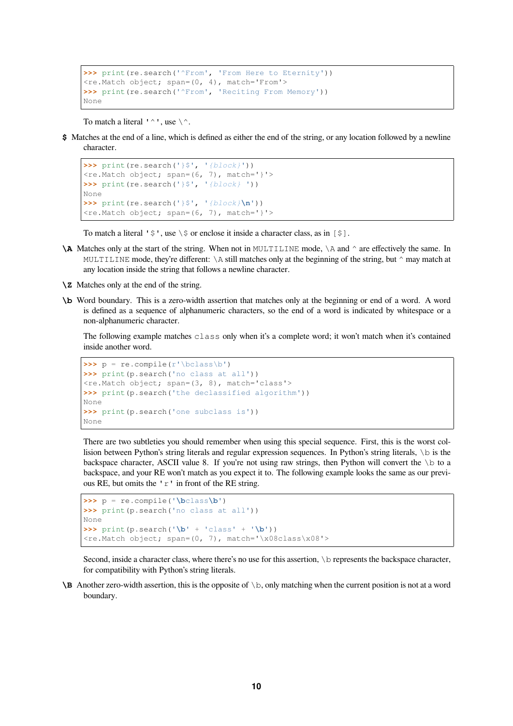```
>>> print(re.search('^From', 'From Here to Eternity'))
<re.Match object; span=(0, 4), match='From'>
>>> print(re.search('^From', 'Reciting From Memory'))
None
```
To match a literal ' $\wedge$ ', use  $\wedge$ .

**\$** Matches at the end of a line, which is defined as either the end of the string, or any location followed by a newline character.

```
>>> print(re.search('}$', '{block}'))
\langlere.Match object; span=(6, 7), match='}'>
>>> print(re.search('}$', '{block} '))
None
>>> print(re.search('}\', '{block}\n'))
<re.Match object; span=(6, 7), match='}'>
```
To match a literal ' $\zeta$ ', use  $\zeta$  or enclose it inside a character class, as in  $\zeta$ .

- **\A** Matches only at the start of the string. When not in MULTILINE mode,  $\setminus$ A and  $\land$  are effectively the same. In MULTILINE mode, they're different:  $\lambda$  still matches only at the beginning of the string, but  $\land$  may match at any location inside the string that follows a newline character.
- **\Z** Matches only at the end of the string.
- **\b** Word boundary. This is a zero-width assertion that matches only at the beginning or end of a word. A word is defined as a sequence of alphanumeric characters, so the end of a word is indicated by whitespace or a non-alphanumeric character.

The following example matches class only when it's a complete word; it won't match when it's contained inside another word.

```
\Rightarrow p = re.compile(r'\bclass\b')>>> print(p.search('no class at all'))
<re.Match object; span=(3, 8), match='class'>
>>> print(p.search('the declassified algorithm'))
None
>>> print(p.search('one subclass is'))
None
```
There are two subtleties you should remember when using this special sequence. First, this is the worst collision between Python's string literals and regular expression sequences. In Python's string literals, \b is the backspace character, ASCII value 8. If you're not using raw strings, then Python will convert the  $\setminus$ b to a backspace, and your RE won't match as you expect it to. The following example looks the same as our previous RE, but omits the 'r' in front of the RE string.

```
\rightarrow \rightarrow p = re.compile('\bolas\b')>>> print(p.search('no class at all'))
None
>>> print(p.search('\b' + 'class' + '\b'))
<re.Match object; span=(0, 7), match='\x08class\x08'>
```
Second, inside a character class, where there's no use for this assertion, \b represents the backspace character, for compatibility with Python's string literals.

**\B** Another zero-width assertion, this is the opposite of \b, only matching when the current position is not at a word boundary.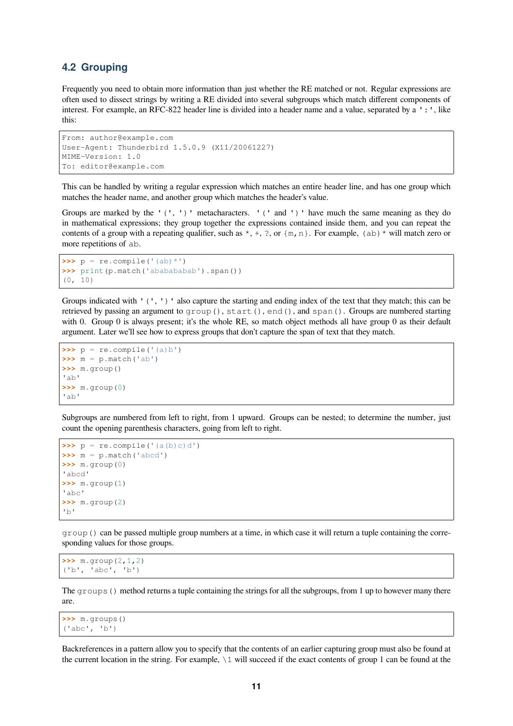### <span id="page-10-0"></span>**4.2 Grouping**

Frequently you need to obtain more information than just whether the RE matched or not. Regular expressions are often used to dissect strings by writing a RE divided into several subgroups which match different components of interest. For example, an RFC-822 header line is divided into a header name and a value, separated by a ':', like this:

```
From: author@example.com
User-Agent: Thunderbird 1.5.0.9 (X11/20061227)
MIME-Version: 1.0
To: editor@example.com
```
This can be handled by writing a regular expression which matches an entire header line, and has one group which matches the header name, and another group which matches the header's value.

Groups are marked by the  $'(', '')'$  metacharacters.  $'(' and '')'$  have much the same meaning as they do in mathematical expressions; they group together the expressions contained inside them, and you can repeat the contents of a group with a repeating qualifier, such as  $*, +, ?$ , or  $\{m, n\}$ . For example,  $(ab) *$  will match zero or more repetitions of ab.

```
\Rightarrow \Rightarrow p = re.compile('(ab) *')>>> print(p.match('ababababab').span())
(0, 10)
```
Groups indicated with '(', ')' also capture the starting and ending index of the text that they match; this can be retrieved by passing an argument to group(), start(), end(), and span(). Groups are numbered starting with 0. Group 0 is always present; it's the whole RE, so match object methods all have group 0 as their default argument. Later we'll see how to express groups that don't capture the span of text that they match.

```
\Rightarrow \Rightarrow p = re.compile('(a)b')>>> m = p.match('ab')
>>> m.group()
'ab'
>>> m.group(0)
'ab'
```
Subgroups are numbered from left to right, from 1 upward. Groups can be nested; to determine the number, just count the opening parenthesis characters, going from left to right.

```
\Rightarrow \Rightarrow p = re^{i} compile('(a(b)c)d')
>>> m = p.match('abcd')
>>> m.group(0)
'abcd'
>>> m.group(1)
'abc'
>>> m.group(2)
'b'
```
group () can be passed multiple group numbers at a time, in which case it will return a tuple containing the corresponding values for those groups.

```
>>> m.group(2,1,2)
('b', 'abc', 'b')
```
The  $\alpha$  coups () method returns a tuple containing the strings for all the subgroups, from 1 up to however many there are.

**>>>** m.groups() ('abc', 'b')

Backreferences in a pattern allow you to specify that the contents of an earlier capturing group must also be found at the current location in the string. For example,  $\setminus 1$  will succeed if the exact contents of group 1 can be found at the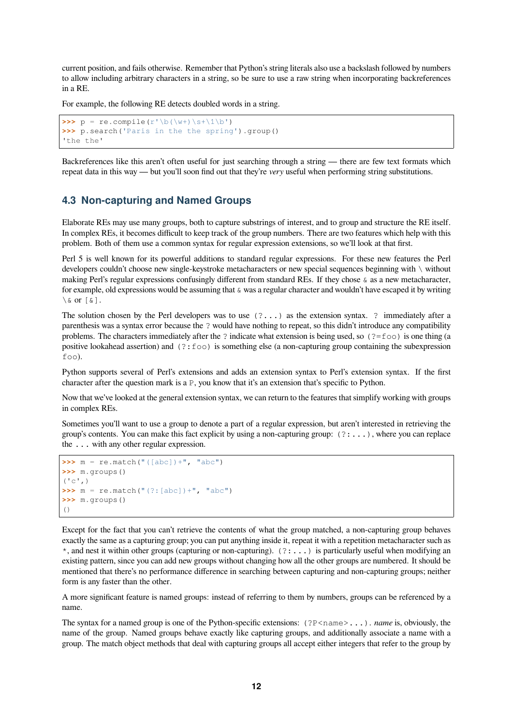current position, and fails otherwise. Remember that Python's string literals also use a backslash followed by numbers to allow including arbitrary characters in a string, so be sure to use a raw string when incorporating backreferences in a RE.

For example, the following RE detects doubled words in a string.

```
>>> p = re.compile(r'\b(\w+)\s+\1\b')>>> p.search('Paris in the the spring').group()
'the the'
```
Backreferences like this aren't often useful for just searching through a string — there are few text formats which repeat data in this way — but you'll soon find out that they're *very* useful when performing string substitutions.

### <span id="page-11-0"></span>**4.3 Non-capturing and Named Groups**

Elaborate REs may use many groups, both to capture substrings of interest, and to group and structure the RE itself. In complex REs, it becomes difficult to keep track of the group numbers. There are two features which help with this problem. Both of them use a common syntax for regular expression extensions, so we'll look at that first.

Perl 5 is well known for its powerful additions to standard regular expressions. For these new features the Perl developers couldn't choose new single-keystroke metacharacters or new special sequences beginning with \ without making Perl's regular expressions confusingly different from standard REs. If they chose & as a new metacharacter, for example, old expressions would be assuming that  $\&$  was a regular character and wouldn't have escaped it by writing  $\setminus$  & or  $\lceil$  &  $\rceil$ .

The solution chosen by the Perl developers was to use (?...) as the extension syntax. ? immediately after a parenthesis was a syntax error because the ? would have nothing to repeat, so this didn't introduce any compatibility problems. The characters immediately after the ? indicate what extension is being used, so ( $? = f \circ \circ$ ) is one thing (a positive lookahead assertion) and  $(2: f \circ \circ)$  is something else (a non-capturing group containing the subexpression foo).

Python supports several of Perl's extensions and adds an extension syntax to Perl's extension syntax. If the first character after the question mark is a P, you know that it's an extension that's specific to Python.

Now that we've looked at the general extension syntax, we can return to the features that simplify working with groups in complex REs.

Sometimes you'll want to use a group to denote a part of a regular expression, but aren't interested in retrieving the group's contents. You can make this fact explicit by using a non-capturing group:  $(2:...)$ , where you can replace the ... with any other regular expression.

```
\Rightarrow m = re.match("([abc]) +". "abc")
>>> m.groups()
(' c', )\Rightarrow m = re.\text{match}("(?:[abc]) + ", "abc")>>> m.groups()
()
```
Except for the fact that you can't retrieve the contents of what the group matched, a non-capturing group behaves exactly the same as a capturing group; you can put anything inside it, repeat it with a repetition metacharacter such as  $*$ , and nest it within other groups (capturing or non-capturing).  $(?:...)$  is particularly useful when modifying an existing pattern, since you can add new groups without changing how all the other groups are numbered. It should be mentioned that there's no performance difference in searching between capturing and non-capturing groups; neither form is any faster than the other.

A more significant feature is named groups: instead of referring to them by numbers, groups can be referenced by a name.

The syntax for a named group is one of the Python-specific extensions: (?P<name>...). *name* is, obviously, the name of the group. Named groups behave exactly like capturing groups, and additionally associate a name with a group. The match object methods that deal with capturing groups all accept either integers that refer to the group by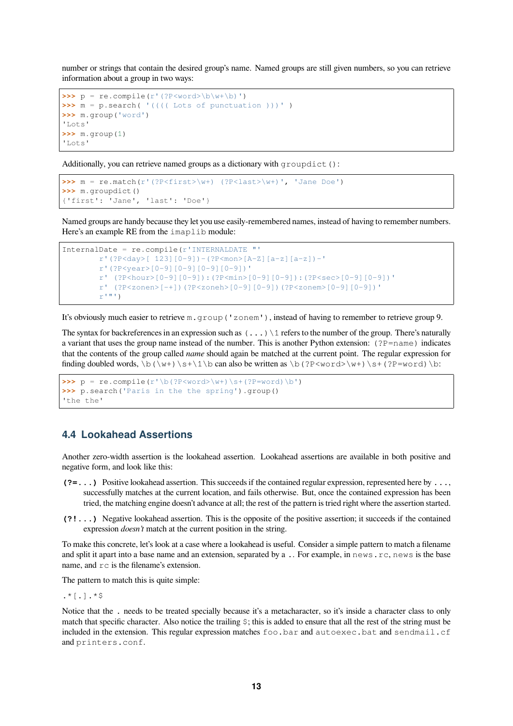number or strings that contain the desired group's name. Named groups are still given numbers, so you can retrieve information about a group in two ways:

```
>>> p = re.compile(r'(?P<word>b\w+b)')>>> m = p.search( '(((( Lots of punctuation )))' )
>>> m.group('word')
'Lots'
>>> m.group(1)
'Lots'
```
Additionally, you can retrieve named groups as a dictionary with groupdict():

```
>>> m = re.match(r'(?P<first>\w+) (?P<last>\w+)', 'Jane Doe')
>>> m.groupdict()
{'first': 'Jane', 'last': 'Doe'}
```
Named groups are handy because they let you use easily-remembered names, instead of having to remember numbers. Here's an example RE from the imaplib module:

```
InternalDate = re.compile(r'INTERNALDATE "'
        r'(?P<day>[ 123][0-9])-(?P<mon>[A-Z][a-z][a-z])-'
        r'(?P<year>[0-9][0-9][0-9][0-9])'
        r' (?P<hour>[0-9][0-9]):(?P<min>[0-9][0-9]):(?P<sec>[0-9][0-9])'
        r' (?P<zonen>[-+])(?P<zoneh>[0-9][0-9])(?P<zonem>[0-9][0-9])'
        r^{\text{m},\text{m}})
```
It's obviously much easier to retrieve m.group('zonem'), instead of having to remember to retrieve group 9.

The syntax for backreferences in an expression such as  $(\ldots)$  1 refers to the number of the group. There's naturally a variant that uses the group name instead of the number. This is another Python extension: (?P=name) indicates that the contents of the group called *name* should again be matched at the current point. The regular expression for finding doubled words,  $\b(\w+)\s+\1\b$  can also be written as  $\b(?P\w+)\s+(?P=word)\b$ :

```
>>> p = re.compile(r'\b(?P<word>\w+))\s+(?P=word)\b')>>> p.search('Paris in the the spring').group()
'the the'
```
### <span id="page-12-0"></span>**4.4 Lookahead Assertions**

Another zero-width assertion is the lookahead assertion. Lookahead assertions are available in both positive and negative form, and look like this:

- **(?=...)** Positive lookahead assertion. This succeeds if the contained regular expression, represented here by ..., successfully matches at the current location, and fails otherwise. But, once the contained expression has been tried, the matching engine doesn't advance at all; the rest of the pattern is tried right where the assertion started.
- **(?!...)** Negative lookahead assertion. This is the opposite of the positive assertion; it succeeds if the contained expression *doesn't* match at the current position in the string.

To make this concrete, let's look at a case where a lookahead is useful. Consider a simple pattern to match a filename and split it apart into a base name and an extension, separated by a .. For example, in news.rc, news is the base name, and  $r c$  is the filename's extension.

The pattern to match this is quite simple:

 $.*$ [.]. $*$ \$

Notice that the . needs to be treated specially because it's a metacharacter, so it's inside a character class to only match that specific character. Also notice the trailing  $\hat{s}$ ; this is added to ensure that all the rest of the string must be included in the extension. This regular expression matches foo.bar and autoexec.bat and sendmail.cf and printers.conf.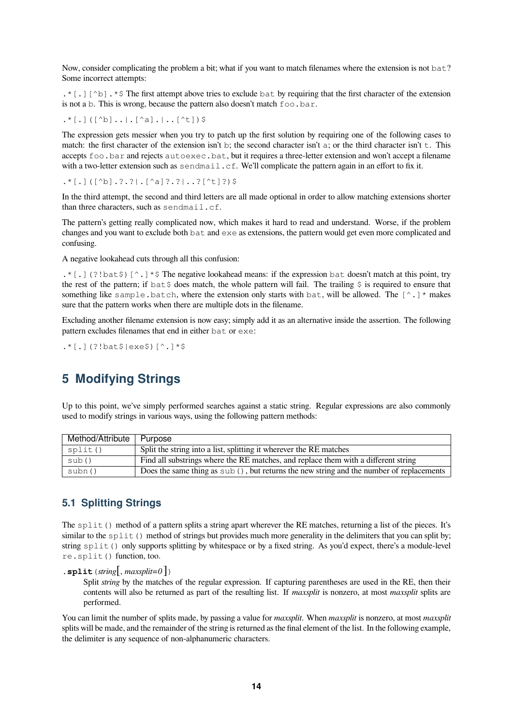Now, consider complicating the problem a bit; what if you want to match filenames where the extension is not bat? Some incorrect attempts:

 $.*$ [.] [^b].\*\$ The first attempt above tries to exclude bat by requiring that the first character of the extension is not a b. This is wrong, because the pattern also doesn't match  $f \circ \circ \circ \cdot \circ \circ f$ .

.\*[.]([^b]..|.[^a].|..[^t])\$

The expression gets messier when you try to patch up the first solution by requiring one of the following cases to match: the first character of the extension isn't b; the second character isn't a; or the third character isn't  $\pm$ . This accepts foo.bar and rejects autoexec.bat, but it requires a three-letter extension and won't accept a filename with a two-letter extension such as sendmail.cf. We'll complicate the pattern again in an effort to fix it.

.\*[.]([^b].?.?|.[^a]?.?|..?[^t]?)\$

In the third attempt, the second and third letters are all made optional in order to allow matching extensions shorter than three characters, such as sendmail.cf.

The pattern's getting really complicated now, which makes it hard to read and understand. Worse, if the problem changes and you want to exclude both bat and exe as extensions, the pattern would get even more complicated and confusing.

A negative lookahead cuts through all this confusion:

 $.*$ [.](?!bat  $$$ )[^.]\* $$$  The negative lookahead means: if the expression bat doesn't match at this point, try the rest of the pattern; if  $bat$   $\frac{1}{2}$  does match, the whole pattern will fail. The trailing  $\frac{1}{2}$  is required to ensure that something like sample.batch, where the extension only starts with bat, will be allowed. The  $[^{\wedge}]$  \* makes sure that the pattern works when there are multiple dots in the filename.

Excluding another filename extension is now easy; simply add it as an alternative inside the assertion. The following pattern excludes filenames that end in either bat or exe:

.\*[.](?!bat\$|exe\$)[^.]\*\$

### <span id="page-13-0"></span>**5 Modifying Strings**

Up to this point, we've simply performed searches against a static string. Regular expressions are also commonly used to modify strings in various ways, using the following pattern methods:

| Method/Attribute | Purpose                                                                                            |
|------------------|----------------------------------------------------------------------------------------------------|
| split()          | Split the string into a list, splitting it wherever the RE matches                                 |
| sub()            | Find all substrings where the RE matches, and replace them with a different string                 |
| subn()           | Does the same thing as $\text{sub}(t)$ , but returns the new string and the number of replacements |

### <span id="page-13-1"></span>**5.1 Splitting Strings**

The  $split$  () method of a pattern splits a string apart wherever the RE matches, returning a list of the pieces. It's similar to the split() method of strings but provides much more generality in the delimiters that you can split by; string split() only supports splitting by whitespace or by a fixed string. As you'd expect, there's a module-level re.split() function, too.

 $\text{split} = 0$ 

Split *string* by the matches of the regular expression. If capturing parentheses are used in the RE, then their contents will also be returned as part of the resulting list. If *maxsplit* is nonzero, at most *maxsplit* splits are performed.

You can limit the number of splits made, by passing a value for *maxsplit*. When *maxsplit* is nonzero, at most *maxsplit* splits will be made, and the remainder of the string is returned as the final element of the list. In the following example, the delimiter is any sequence of non-alphanumeric characters.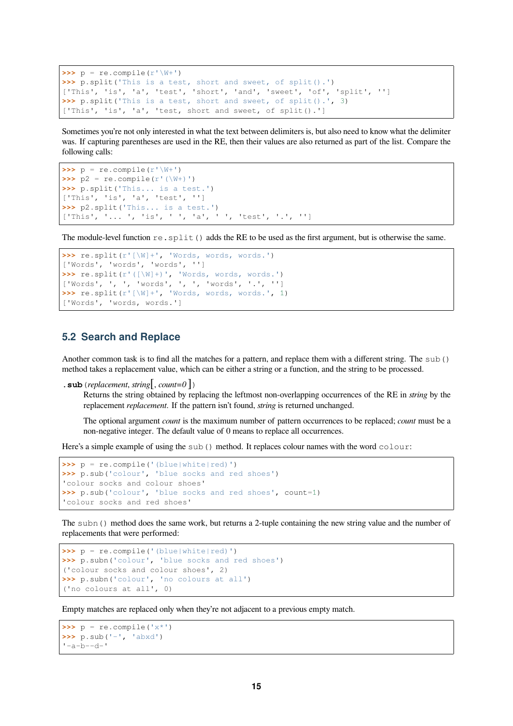```
\Rightarrow p = re^{i} compile(r' \W')
>>> p.split('This is a test, short and sweet, of split().')
['This', 'is', 'a', 'test', 'short', 'and', 'sweet', 'of', 'split', '']
>>> p.split('This is a test, short and sweet, of split().', 3)
['This', 'is', 'a', 'test, short and sweet, of split().']
```
Sometimes you're not only interested in what the text between delimiters is, but also need to know what the delimiter was. If capturing parentheses are used in the RE, then their values are also returned as part of the list. Compare the following calls:

```
\Rightarrow \Rightarrow p = re.compile(r'\W'')\Rightarrow p2 = re.compile(r'(\W+)^{\prime})>>> p.split('This... is a test.')
['This', 'is', 'a', 'test', '']
>>> p2.split('This... is a test.')
['This', '... ', 'is', ' ', 'a', ' ', 'test', '.', '']
```
The module-level function  $re$ .  $split$  () adds the RE to be used as the first argument, but is otherwise the same.

```
>>> re.split(r'[\W]+', 'Words, words, words.')
['Words', 'words', 'words', '']
>>> re.split(r'([\W]+)', 'Words, words, words.')
['Words', ', ', 'words', ', ', 'words', '.', '']
>>> re.split(r'[\W]+', 'Words, words, words.', 1)
['Words', 'words, words.']
```
### <span id="page-14-0"></span>**5.2 Search and Replace**

Another common task is to find all the matches for a pattern, and replace them with a different string. The sub() method takes a replacement value, which can be either a string or a function, and the string to be processed.

```
.sub(replacement, string[, count=0 ])
```
Returns the string obtained by replacing the leftmost non-overlapping occurrences of the RE in *string* by the replacement *replacement*. If the pattern isn't found, *string* is returned unchanged.

The optional argument *count* is the maximum number of pattern occurrences to be replaced; *count* must be a non-negative integer. The default value of 0 means to replace all occurrences.

Here's a simple example of using the sub() method. It replaces colour names with the word colour:

```
>>> p = re.compile('(blue|white|red)')
>>> p.sub('colour', 'blue socks and red shoes')
'colour socks and colour shoes'
>>> p.sub('colour', 'blue socks and red shoes', count=1)
'colour socks and red shoes'
```
The subn() method does the same work, but returns a 2-tuple containing the new string value and the number of replacements that were performed:

```
>>> p = re.compile('(blue|white|red)')
>>> p.subn('colour', 'blue socks and red shoes')
('colour socks and colour shoes', 2)
>>> p.subn('colour', 'no colours at all')
('no colours at all', 0)
```
Empty matches are replaced only when they're not adjacent to a previous empty match.

```
>>> p = re.compile('x*')
>>> p.sub('-', 'abxd')
'-a-b--d-'
```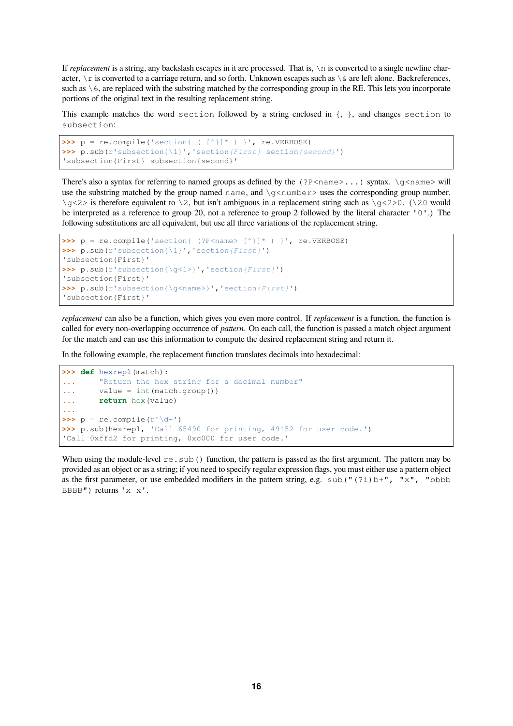If *replacement* is a string, any backslash escapes in it are processed. That is,  $\ln$  is converted to a single newline character,  $\ln x$  is converted to a carriage return, and so forth. Unknown escapes such as  $\sin x \leq x$  are left alone. Backreferences, such as  $\setminus$  6, are replaced with the substring matched by the corresponding group in the RE. This lets you incorporate portions of the original text in the resulting replacement string.

This example matches the word section followed by a string enclosed in  $\{, \}$ , and changes section to subsection:

```
\Rightarrow \Rightarrow p = re.compile('section{ ( ^{\wedge})}^{\star} ) ', re.VERBOSE)>>> p.sub(r'subsection{\1}','section{First} section{second}')
'subsection{First} subsection{second}'
```
There's also a syntax for referring to named groups as defined by the  $(?P < name > ...)$  syntax.  $\qquad \leq meme >$  will use the substring matched by the group named name, and  $\qquad \alpha$  number> uses the corresponding group number. \g<2> is therefore equivalent to \2, but isn't ambiguous in a replacement string such as \g<2>0. (\20 would be interpreted as a reference to group 20, not a reference to group 2 followed by the literal character '0'.) The following substitutions are all equivalent, but use all three variations of the replacement string.

```
>>> p = re.compile('section{ (?P<name> [^}]* ) }', re.VERBOSE)
>>> p.sub(r'subsection{\1}','section{First}')
'subsection{First}'
>>> p.sub(r'subsection{\g<1>}','section{First}')
'subsection{First}'
>>> p.sub(r'subsection{\g<name>}','section{First}')
'subsection{First}'
```
*replacement* can also be a function, which gives you even more control. If *replacement* is a function, the function is called for every non-overlapping occurrence of *pattern*. On each call, the function is passed a match object argument for the match and can use this information to compute the desired replacement string and return it.

In the following example, the replacement function translates decimals into hexadecimal:

```
>>> def hexrepl(match):
... "Return the hex string for a decimal number"
... value = int(match.group())
... return hex(value)
...
\Rightarrow \Rightarrow p = re.compile(r' \ddot{\ddot{\theta}})>>> p.sub(hexrepl, 'Call 65490 for printing, 49152 for user code.')
'Call 0xffd2 for printing, 0xc000 for user code.'
```
When using the module-level  $r_{e}$ ,  $s_{ub}$  () function, the pattern is passed as the first argument. The pattern may be provided as an object or as a string; if you need to specify regular expression flags, you must either use a pattern object as the first parameter, or use embedded modifiers in the pattern string, e.g. sub("(?i)b+", "x", "bbbb BBBB") returns 'x x'.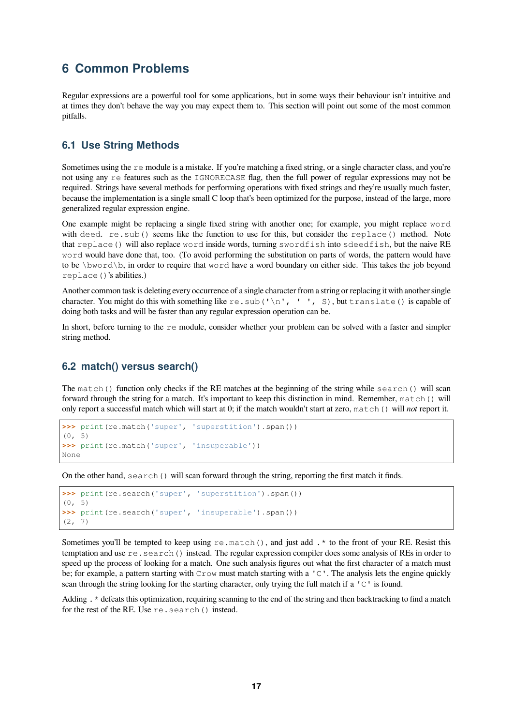### <span id="page-16-0"></span>**6 Common Problems**

Regular expressions are a powerful tool for some applications, but in some ways their behaviour isn't intuitive and at times they don't behave the way you may expect them to. This section will point out some of the most common pitfalls.

### <span id="page-16-1"></span>**6.1 Use String Methods**

Sometimes using the  $r \in \text{module}$  is a mistake. If you're matching a fixed string, or a single character class, and you're not using any re features such as the IGNORECASE flag, then the full power of regular expressions may not be required. Strings have several methods for performing operations with fixed strings and they're usually much faster, because the implementation is a single small C loop that's been optimized for the purpose, instead of the large, more generalized regular expression engine.

One example might be replacing a single fixed string with another one; for example, you might replace word with deed. re. sub() seems like the function to use for this, but consider the replace() method. Note that replace() will also replace word inside words, turning swordfish into sdeedfish, but the naive RE word would have done that, too. (To avoid performing the substitution on parts of words, the pattern would have to be \bword\b, in order to require that word have a word boundary on either side. This takes the job beyond replace()'s abilities.)

Another common task is deleting every occurrence of a single character from a string or replacing it with another single character. You might do this with something like re. sub('\n', '', S), but translate() is capable of doing both tasks and will be faster than any regular expression operation can be.

In short, before turning to the  $r e$  module, consider whether your problem can be solved with a faster and simpler string method.

### <span id="page-16-2"></span>**6.2 match() versus search()**

The match() function only checks if the RE matches at the beginning of the string while search() will scan forward through the string for a match. It's important to keep this distinction in mind. Remember, match() will only report a successful match which will start at 0; if the match wouldn't start at zero, match() will *not* report it.

```
>>> print(re.match('super', 'superstition').span())
(0, 5)
>>> print(re.match('super', 'insuperable'))
None
```
On the other hand, search() will scan forward through the string, reporting the first match it finds.

```
>>> print(re.search('super', 'superstition').span())
(0, 5)
>>> print(re.search('super', 'insuperable').span())
(2, 7)
```
Sometimes you'll be tempted to keep using re.match(), and just add. \* to the front of your RE. Resist this temptation and use re.search() instead. The regular expression compiler does some analysis of REs in order to speed up the process of looking for a match. One such analysis figures out what the first character of a match must be; for example, a pattern starting with  $C_{\text{row}}$  must match starting with a 'C'. The analysis lets the engine quickly scan through the string looking for the starting character, only trying the full match if a  $\text{C}^{\dagger}$  is found.

Adding . \* defeats this optimization, requiring scanning to the end of the string and then backtracking to find a match for the rest of the RE. Use re.search() instead.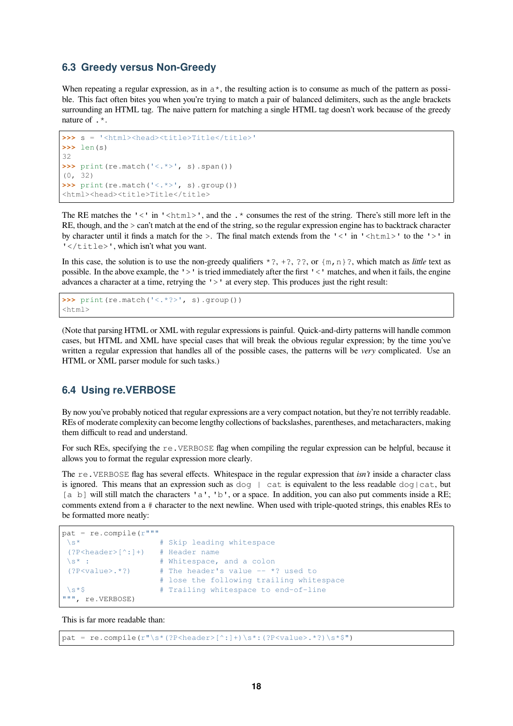### **6.3 Greedy versus Non-Greedy**

When repeating a regular expression, as in  $a^*$ , the resulting action is to consume as much of the pattern as possible. This fact often bites you when you're trying to match a pair of balanced delimiters, such as the angle brackets surrounding an HTML tag. The naive pattern for matching a single HTML tag doesn't work because of the greedy nature of  $\cdot$  \*.

```
>>> s = '<html><head><title>Title</title>'
>>> len(s)
32
>>> print(re.match('<.*>', s).span())
(0, 32)
>>> print(re.match('<.*>', s).group())
<html><head><title>Title</title>
```
The RE matches the ' $\lt'$  in ' $\lt$ html $>$ ', and the  $\star$  consumes the rest of the string. There's still more left in the RE, though, and the > can't match at the end of the string, so the regular expression engine has to backtrack character by character until it finds a match for the >. The final match extends from the '<' in '<html>' to the '>' in '</title>', which isn't what you want.

In this case, the solution is to use the non-greedy qualifiers  $\star$  ?,  $\div$  ?,  $\star$ ?,  $\circ$ ?, or  $\{m, n\}$ ?, which match as *little* text as possible. In the above example, the '>' is tried immediately after the first '<' matches, and when it fails, the engine advances a character at a time, retrying the '>' at every step. This produces just the right result:

```
>>> print(re.match('<.*?>', s).group())
<html>
```
(Note that parsing HTML or XML with regular expressions is painful. Quick-and-dirty patterns will handle common cases, but HTML and XML have special cases that will break the obvious regular expression; by the time you've written a regular expression that handles all of the possible cases, the patterns will be *very* complicated. Use an HTML or XML parser module for such tasks.)

### **6.4 Using re.VERBOSE**

By now you've probably noticed that regular expressions are a very compact notation, but they're not terribly readable. REs of moderate complexity can become lengthy collections of backslashes, parentheses, and metacharacters, making them difficult to read and understand.

For such REs, specifying the re. VERBOSE flag when compiling the regular expression can be helpful, because it allows you to format the regular expression more clearly.

The re.VERBOSE flag has several effects. Whitespace in the regular expression that *isn't* inside a character class is ignored. This means that an expression such as  $\text{dog} \mid \text{cat}$  is equivalent to the less readable  $\text{dog} \mid \text{cat}$ , but [a b] will still match the characters 'a', 'b', or a space. In addition, you can also put comments inside a RE; comments extend from a # character to the next newline. When used with triple-quoted strings, this enables REs to be formatted more neatly:

```
pat = re.compile(r"""
 \s* # Skip leading whitespace
 (?P<header>[^:]+) # Header name
\setminuss* : \qquad # Whitespace, and a colon
(?P<value>.*?) # The header's value -- *? used to
                  # lose the following trailing whitespace
\s*$ # Trailing whitespace to end-of-line
""", re.VERBOSE)
```
This is far more readable than:

pat = re.compile(r"\s\*(?P<header>[^:]+)\s\*:(?P<value>.\*?)\s\*\$")